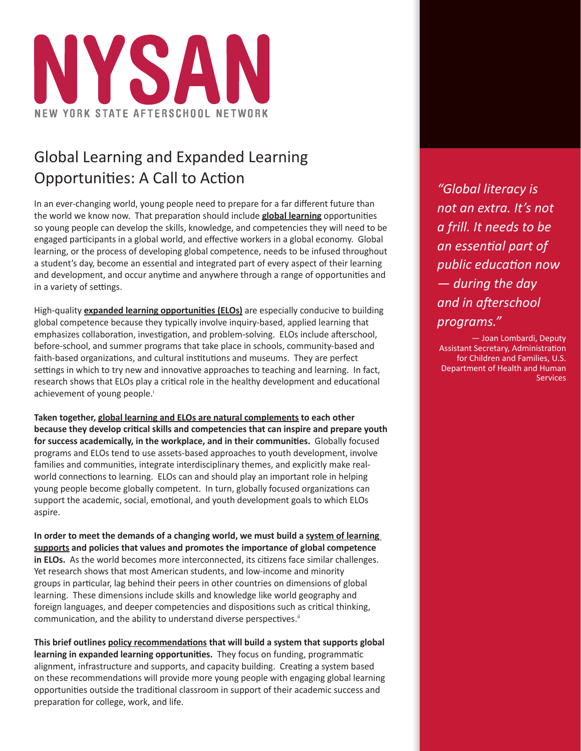

# Global Learning and Expanded Learning Opportunities: A Call to Action

In an ever-changing world, young people need to prepare for a far different future than the world we know now. That preparation should include **global learning** opportunities so young people can develop the skills, knowledge, and competencies they will need to be engaged participants in a global world, and effective workers in a global economy. Global learning, or the process of developing global competence, needs to be infused throughout a student's day, become an essential and integrated part of every aspect of their learning and development, and occur anytime and anywhere through a range of opportunities and in a variety of settings.

High-quality **expanded learning opportunities (ELOs)** are especially conducive to building global competence because they typically involve inquiry-based, applied learning that emphasizes collaboration, investigation, and problem-solving. ELOs include afterschool, before-school, and summer programs that take place in schools, community-based and faith-based organizations, and cultural institutions and museums. They are perfect settings in which to try new and innovative approaches to teaching and learning. In fact, research shows that ELOs play a critical role in the healthy development and educational achievement of young people.<sup>i</sup>

**Taken together, global learning and ELOs are natural complements to each other because they develop critical skills and competencies that can inspire and prepare youth for success academically, in the workplace, and in their communities.** Globally focused programs and ELOs tend to use assets-based approaches to youth development, involve families and communities, integrate interdisciplinary themes, and explicitly make realworld connections to learning. ELOs can and should play an important role in helping young people become globally competent. In turn, globally focused organizations can support the academic, social, emotional, and youth development goals to which ELOs aspire.

**In order to meet the demands of a changing world, we must build a system of learning supports and policies that values and promotes the importance of global competence in ELOs.** As the world becomes more interconnected, its citizens face similar challenges. Yet research shows that most American students, and low-income and minority groups in particular, lag behind their peers in other countries on dimensions of global learning. These dimensions include skills and knowledge like world geography and foreign languages, and deeper competencies and dispositions such as critical thinking, communication, and the ability to understand diverse perspectives.<sup>ii</sup>

**This brief outlines policy recommendations that will build a system that supports global learning in expanded learning opportunities.** They focus on funding, programmatic alignment, infrastructure and supports, and capacity building. Creating a system based on these recommendations will provide more young people with engaging global learning opportunities outside the traditional classroom in support of their academic success and preparation for college, work, and life.

*"Global literacy is not an extra. It's not a frill. It needs to be an essential part of public education now — during the day and in afterschool programs."*

— Joan Lombardi, Deputy Assistant Secretary, Administration for Children and Families, U.S. Department of Health and Human **Services**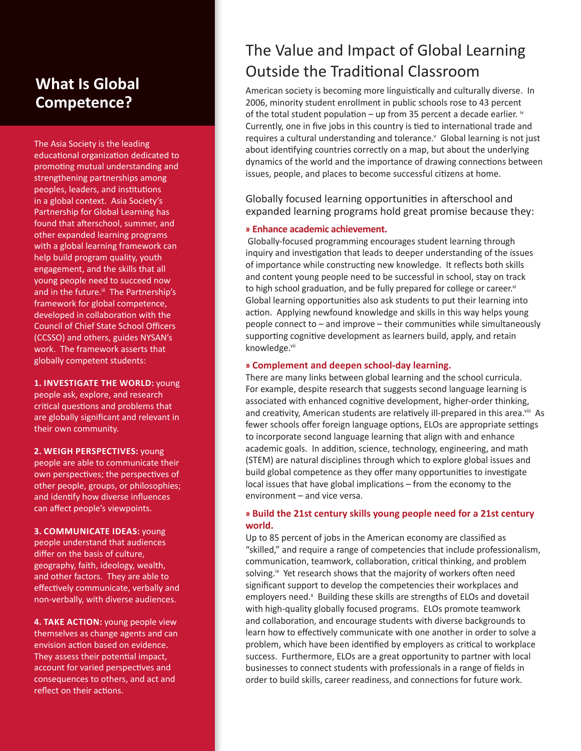## **What Is Global Competence?**

The Asia Society is the leading educational organization dedicated to promoting mutual understanding and strengthening partnerships among peoples, leaders, and institutions in a global context. Asia Society's Partnership for Global Learning has found that afterschool, summer, and other expanded learning programs with a global learning framework can help build program quality, youth engagement, and the skills that all young people need to succeed now and in the future.<sup>iii</sup> The Partnership's framework for global competence, developed in collaboration with the Council of Chief State School Officers (CCSSO) and others, guides NYSAN's work. The framework asserts that globally competent students:

**1. INVESTIGATE THE WORLD:** young people ask, explore, and research critical questions and problems that are globally significant and relevant in their own community.

**2. WEIGH PERSPECTIVES:** young people are able to communicate their own perspectives; the perspectives of other people, groups, or philosophies; and identify how diverse influences can affect people's viewpoints.

**3. COMMUNICATE IDEAS:** young people understand that audiences differ on the basis of culture, geography, faith, ideology, wealth, and other factors. They are able to effectively communicate, verbally and non-verbally, with diverse audiences.

**4. TAKE ACTION:** young people view themselves as change agents and can envision action based on evidence. They assess their potential impact, account for varied perspectives and consequences to others, and act and reflect on their actions.

# The Value and Impact of Global Learning Outside the Traditional Classroom

American society is becoming more linguistically and culturally diverse. In 2006, minority student enrollment in public schools rose to 43 percent of the total student population – up from 35 percent a decade earlier.  $\dot{w}$ Currently, one in five jobs in this country is tied to international trade and requires a cultural understanding and tolerance.<sup>v</sup> Global learning is not just about identifying countries correctly on a map, but about the underlying dynamics of the world and the importance of drawing connections between issues, people, and places to become successful citizens at home.

Globally focused learning opportunities in afterschool and expanded learning programs hold great promise because they:

#### **» Enhance academic achievement.**

 Globally-focused programming encourages student learning through inquiry and investigation that leads to deeper understanding of the issues of importance while constructing new knowledge. It reflects both skills and content young people need to be successful in school, stay on track to high school graduation, and be fully prepared for college or career.<sup>vi</sup> Global learning opportunities also ask students to put their learning into action. Applying newfound knowledge and skills in this way helps young people connect to – and improve – their communities while simultaneously supporting cognitive development as learners build, apply, and retain knowledge.vii

#### **» Complement and deepen school-day learning.**

There are many links between global learning and the school curricula. For example, despite research that suggests second language learning is associated with enhanced cognitive development, higher-order thinking, and creativity, American students are relatively ill-prepared in this area.<sup>viii</sup> As fewer schools offer foreign language options, ELOs are appropriate settings to incorporate second language learning that align with and enhance academic goals. In addition, science, technology, engineering, and math (STEM) are natural disciplines through which to explore global issues and build global competence as they offer many opportunities to investigate local issues that have global implications – from the economy to the environment – and vice versa.

### **» Build the 21st century skills young people need for a 21st century world.**

Up to 85 percent of jobs in the American economy are classified as "skilled," and require a range of competencies that include professionalism, communication, teamwork, collaboration, critical thinking, and problem solving.<sup>ix</sup> Yet research shows that the majority of workers often need significant support to develop the competencies their workplaces and employers need.<sup>x</sup> Building these skills are strengths of ELOs and dovetail with high-quality globally focused programs. ELOs promote teamwork and collaboration, and encourage students with diverse backgrounds to learn how to effectively communicate with one another in order to solve a problem, which have been identified by employers as critical to workplace success. Furthermore, ELOs are a great opportunity to partner with local businesses to connect students with professionals in a range of fields in order to build skills, career readiness, and connections for future work.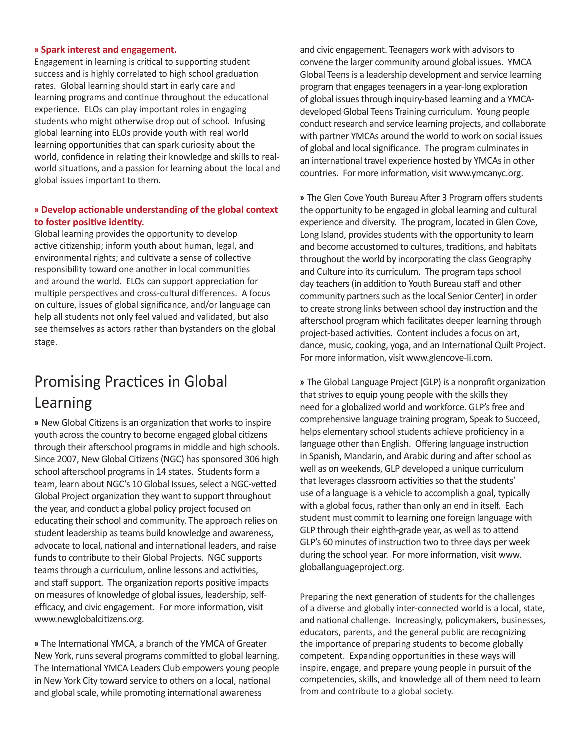#### **» Spark interest and engagement.**

Engagement in learning is critical to supporting student success and is highly correlated to high school graduation rates. Global learning should start in early care and learning programs and continue throughout the educational experience. ELOs can play important roles in engaging students who might otherwise drop out of school. Infusing global learning into ELOs provide youth with real world learning opportunities that can spark curiosity about the world, confidence in relating their knowledge and skills to realworld situations, and a passion for learning about the local and global issues important to them.

### **» Develop actionable understanding of the global context to foster positive identity.**

Global learning provides the opportunity to develop active citizenship; inform youth about human, legal, and environmental rights; and cultivate a sense of collective responsibility toward one another in local communities and around the world. ELOs can support appreciation for multiple perspectives and cross-cultural differences. A focus on culture, issues of global significance, and/or language can help all students not only feel valued and validated, but also see themselves as actors rather than bystanders on the global stage.

## Promising Practices in Global Learning

**»** New Global Citizens is an organization that works to inspire youth across the country to become engaged global citizens through their afterschool programs in middle and high schools. Since 2007, New Global Citizens (NGC) has sponsored 306 high school afterschool programs in 14 states. Students form a team, learn about NGC's 10 Global Issues, select a NGC-vetted Global Project organization they want to support throughout the year, and conduct a global policy project focused on educating their school and community. The approach relies on student leadership as teams build knowledge and awareness, advocate to local, national and international leaders, and raise funds to contribute to their Global Projects. NGC supports teams through a curriculum, online lessons and activities, and staff support. The organization reports positive impacts on measures of knowledge of global issues, leadership, selfefficacy, and civic engagement. For more information, visit www.newglobalcitizens.org.

**»** The International YMCA, a branch of the YMCA of Greater New York, runs several programs committed to global learning. The International YMCA Leaders Club empowers young people in New York City toward service to others on a local, national and global scale, while promoting international awareness

and civic engagement. Teenagers work with advisors to convene the larger community around global issues. YMCA Global Teens is a leadership development and service learning program that engages teenagers in a year-long exploration of global issues through inquiry-based learning and a YMCAdeveloped Global Teens Training curriculum. Young people conduct research and service learning projects, and collaborate with partner YMCAs around the world to work on social issues of global and local significance. The program culminates in an international travel experience hosted by YMCAs in other countries. For more information, visit www.ymcanyc.org.

**»** The Glen Cove Youth Bureau After 3 Program offers students the opportunity to be engaged in global learning and cultural experience and diversity. The program, located in Glen Cove, Long Island, provides students with the opportunity to learn and become accustomed to cultures, traditions, and habitats throughout the world by incorporating the class Geography and Culture into its curriculum. The program taps school day teachers (in addition to Youth Bureau staff and other community partners such as the local Senior Center) in order to create strong links between school day instruction and the afterschool program which facilitates deeper learning through project-based activities. Content includes a focus on art, dance, music, cooking, yoga, and an International Quilt Project. For more information, visit www.glencove-li.com.

**»** The Global Language Project (GLP) is a nonprofit organization that strives to equip young people with the skills they need for a globalized world and workforce. GLP's free and comprehensive language training program, Speak to Succeed, helps elementary school students achieve proficiency in a language other than English. Offering language instruction in Spanish, Mandarin, and Arabic during and after school as well as on weekends, GLP developed a unique curriculum that leverages classroom activities so that the students' use of a language is a vehicle to accomplish a goal, typically with a global focus, rather than only an end in itself. Each student must commit to learning one foreign language with GLP through their eighth-grade year, as well as to attend GLP's 60 minutes of instruction two to three days per week during the school year. For more information, visit www. globallanguageproject.org.

Preparing the next generation of students for the challenges of a diverse and globally inter-connected world is a local, state, and national challenge. Increasingly, policymakers, businesses, educators, parents, and the general public are recognizing the importance of preparing students to become globally competent. Expanding opportunities in these ways will inspire, engage, and prepare young people in pursuit of the competencies, skills, and knowledge all of them need to learn from and contribute to a global society.